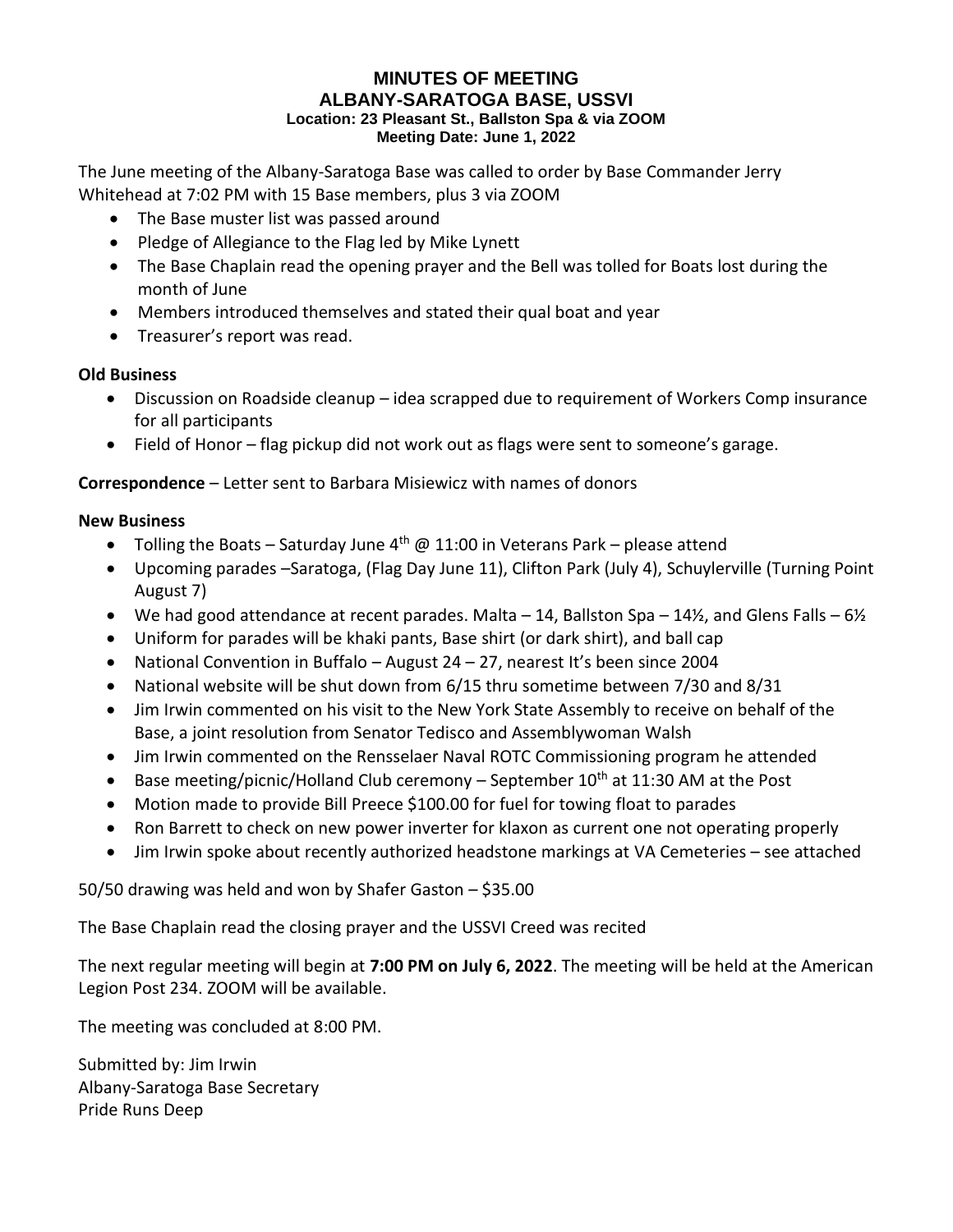### **MINUTES OF MEETING ALBANY-SARATOGA BASE, USSVI Location: 23 Pleasant St., Ballston Spa & via ZOOM**

**Meeting Date: June 1, 2022**

The June meeting of the Albany-Saratoga Base was called to order by Base Commander Jerry Whitehead at 7:02 PM with 15 Base members, plus 3 via ZOOM

- The Base muster list was passed around
- Pledge of Allegiance to the Flag led by Mike Lynett
- The Base Chaplain read the opening prayer and the Bell was tolled for Boats lost during the month of June
- Members introduced themselves and stated their qual boat and year
- Treasurer's report was read.

## **Old Business**

- Discussion on Roadside cleanup idea scrapped due to requirement of Workers Comp insurance for all participants
- Field of Honor flag pickup did not work out as flags were sent to someone's garage.

# **Correspondence** – Letter sent to Barbara Misiewicz with names of donors

## **New Business**

- Tolling the Boats Saturday June  $4^{th}$  @ 11:00 in Veterans Park please attend
- Upcoming parades –Saratoga, (Flag Day June 11), Clifton Park (July 4), Schuylerville (Turning Point August 7)
- We had good attendance at recent parades. Malta 14, Ballston Spa 14 $\frac{1}{2}$ , and Glens Falls 6 $\frac{1}{2}$
- Uniform for parades will be khaki pants, Base shirt (or dark shirt), and ball cap
- National Convention in Buffalo August 24 27, nearest It's been since 2004
- National website will be shut down from 6/15 thru sometime between 7/30 and 8/31
- Jim Irwin commented on his visit to the New York State Assembly to receive on behalf of the Base, a joint resolution from Senator Tedisco and Assemblywoman Walsh
- Jim Irwin commented on the Rensselaer Naval ROTC Commissioning program he attended
- Base meeting/picnic/Holland Club ceremony September  $10^{th}$  at 11:30 AM at the Post
- Motion made to provide Bill Preece \$100.00 for fuel for towing float to parades
- Ron Barrett to check on new power inverter for klaxon as current one not operating properly
- Jim Irwin spoke about recently authorized headstone markings at VA Cemeteries see attached

# 50/50 drawing was held and won by Shafer Gaston – \$35.00

The Base Chaplain read the closing prayer and the USSVI Creed was recited

The next regular meeting will begin at **7:00 PM on July 6, 2022**. The meeting will be held at the American Legion Post 234. ZOOM will be available.

The meeting was concluded at 8:00 PM.

Submitted by: Jim Irwin Albany-Saratoga Base Secretary Pride Runs Deep